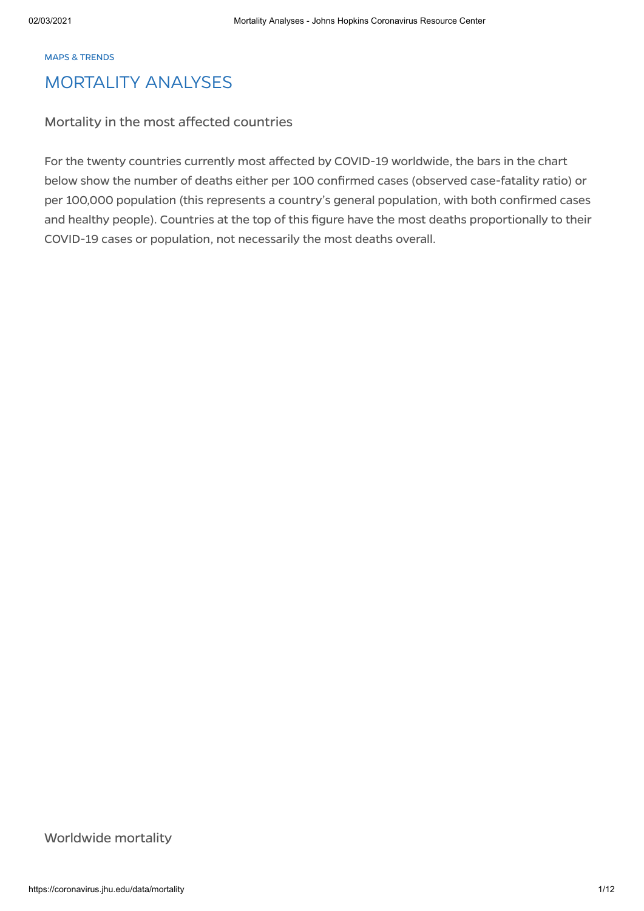#### MAPS & TRENDS

## MORTALITY ANALYSES

## Mortality in the most affected countries

For the twenty countries currently most affected by COVID-19 worldwide, the bars in the chart below show the number of deaths either per 100 confirmed cases (observed case-fatality ratio) or per 100,000 population (this represents a country's general population, with both confirmed cases and healthy people). Countries at the top of this figure have the most deaths proportionally to their COVID-19 cases or population, not necessarily the most deaths overall.

Worldwide mortality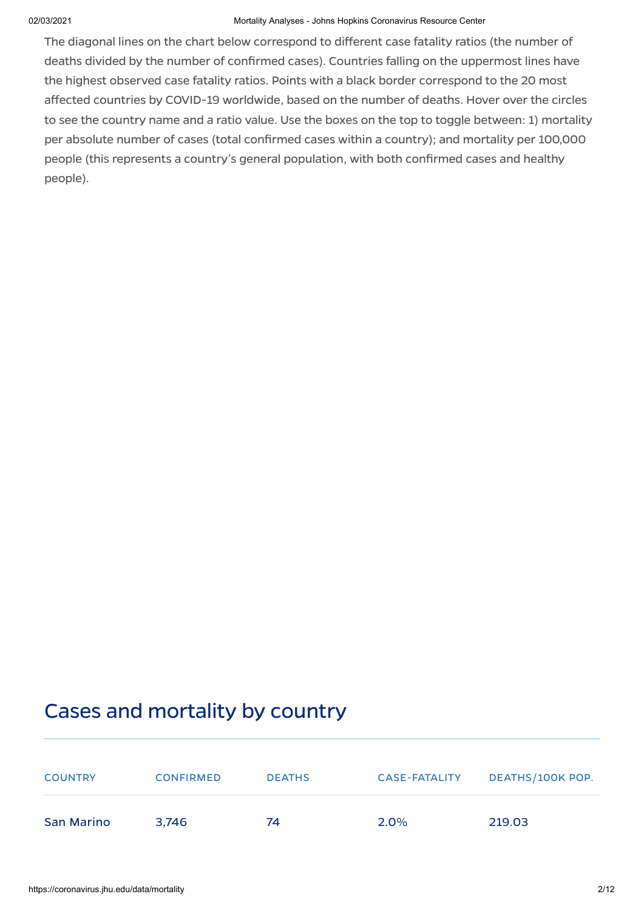The diagonal lines on the chart below correspond to different case fatality ratios (the number of deaths divided by the number of confirmed cases). Countries falling on the uppermost lines have the highest observed case fatality ratios. Points with a black border correspond to the 20 most affected countries by COVID-19 worldwide, based on the number of deaths. Hover over the circles to see the country name and a ratio value. Use the boxes on the top to toggle between: 1) mortality per absolute number of cases (total confirmed cases within a country); and mortality per 100,000 people (this represents a country's general population, with both confirmed cases and healthy people).

# Cases and mortality by country

| <b>COUNTRY</b> | <b>CONFIRMED</b> | <b>DEATHS</b> | <b>CASE-FATALITY</b> | DEATHS/100K POP. |
|----------------|------------------|---------------|----------------------|------------------|
| San Marino     | 3.746            | 74            | $2.0\%$              | 219.03           |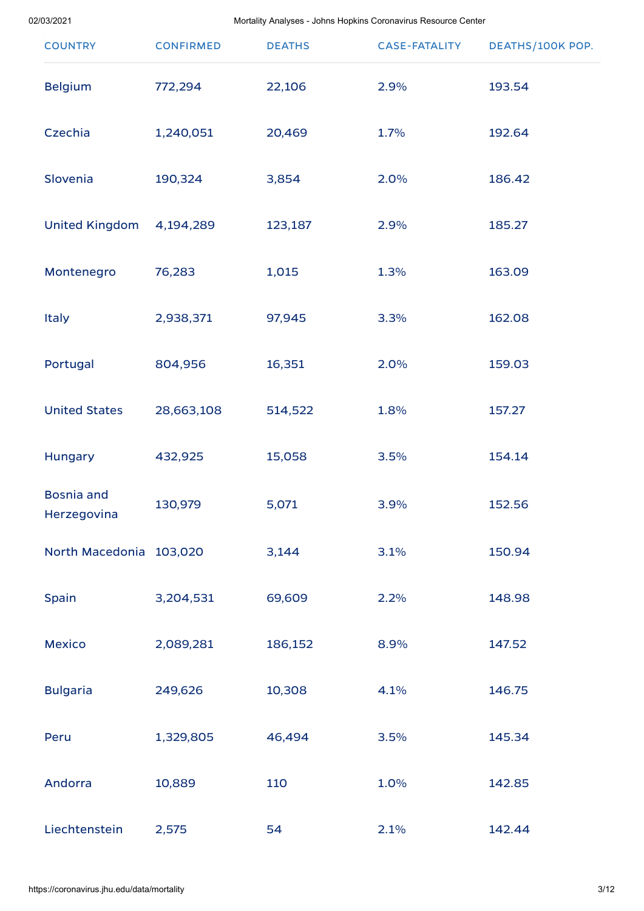| <b>COUNTRY</b>                   | <b>CONFIRMED</b> | <b>DEATHS</b> | <b>CASE-FATALITY</b> | DEATHS/100K POP. |
|----------------------------------|------------------|---------------|----------------------|------------------|
| <b>Belgium</b>                   | 772,294          | 22,106        | 2.9%                 | 193.54           |
| Czechia                          | 1,240,051        | 20,469        | 1.7%                 | 192.64           |
| Slovenia                         | 190,324          | 3,854         | 2.0%                 | 186.42           |
| <b>United Kingdom</b>            | 4,194,289        | 123,187       | 2.9%                 | 185.27           |
| Montenegro                       | 76,283           | 1,015         | 1.3%                 | 163.09           |
| <b>Italy</b>                     | 2,938,371        | 97,945        | 3.3%                 | 162.08           |
| Portugal                         | 804,956          | 16,351        | 2.0%                 | 159.03           |
| <b>United States</b>             | 28,663,108       | 514,522       | 1.8%                 | 157.27           |
| Hungary                          | 432,925          | 15,058        | 3.5%                 | 154.14           |
| <b>Bosnia and</b><br>Herzegovina | 130,979          | 5,071         | 3.9%                 | 152.56           |
| North Macedonia 103,020          |                  | 3,144         | 3.1%                 | 150.94           |
| Spain                            | 3,204,531        | 69,609        | 2.2%                 | 148.98           |
| <b>Mexico</b>                    | 2,089,281        | 186,152       | 8.9%                 | 147.52           |
| <b>Bulgaria</b>                  | 249,626          | 10,308        | 4.1%                 | 146.75           |
| Peru                             | 1,329,805        | 46,494        | 3.5%                 | 145.34           |
| Andorra                          | 10,889           | 110           | 1.0%                 | 142.85           |
| Liechtenstein                    | 2,575            | 54            | 2.1%                 | 142.44           |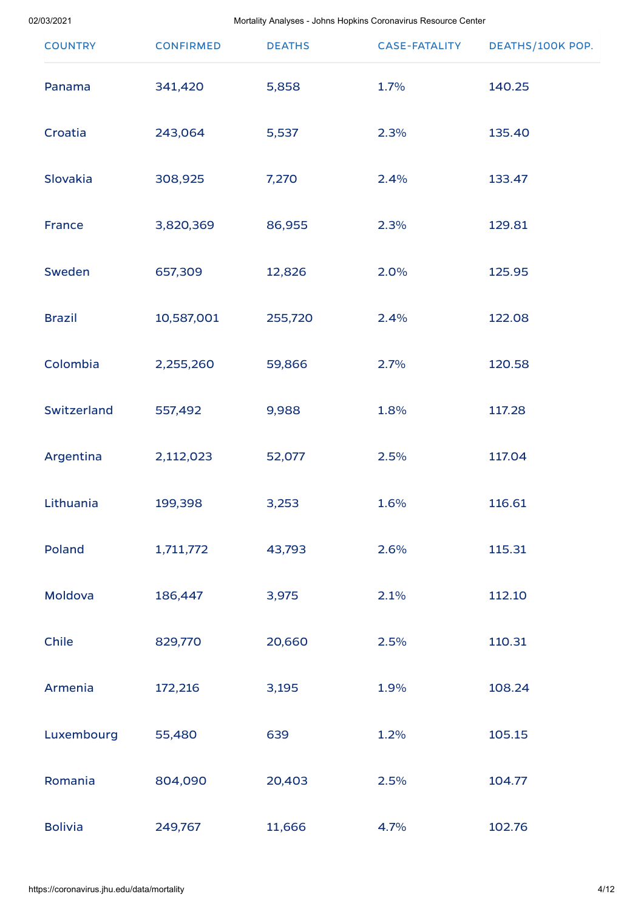| <b>COUNTRY</b> | <b>CONFIRMED</b> | <b>DEATHS</b> | <b>CASE-FATALITY</b> | DEATHS/100K POP. |
|----------------|------------------|---------------|----------------------|------------------|
| Panama         | 341,420          | 5,858         | 1.7%                 | 140.25           |
| Croatia        | 243,064          | 5,537         | 2.3%                 | 135.40           |
| Slovakia       | 308,925          | 7,270         | 2.4%                 | 133.47           |
| <b>France</b>  | 3,820,369        | 86,955        | 2.3%                 | 129.81           |
| Sweden         | 657,309          | 12,826        | 2.0%                 | 125.95           |
| <b>Brazil</b>  | 10,587,001       | 255,720       | 2.4%                 | 122.08           |
| Colombia       | 2,255,260        | 59,866        | 2.7%                 | 120.58           |
| Switzerland    | 557,492          | 9,988         | 1.8%                 | 117.28           |
| Argentina      | 2,112,023        | 52,077        | 2.5%                 | 117.04           |
| Lithuania      | 199,398          | 3,253         | 1.6%                 | 116.61           |
| Poland         | 1,711,772        | 43,793        | 2.6%                 | 115.31           |
| Moldova        | 186,447          | 3,975         | 2.1%                 | 112.10           |
| Chile          | 829,770          | 20,660        | 2.5%                 | 110.31           |
| Armenia        | 172,216          | 3,195         | 1.9%                 | 108.24           |
| Luxembourg     | 55,480           | 639           | 1.2%                 | 105.15           |
| Romania        | 804,090          | 20,403        | 2.5%                 | 104.77           |
| <b>Bolivia</b> | 249,767          | 11,666        | 4.7%                 | 102.76           |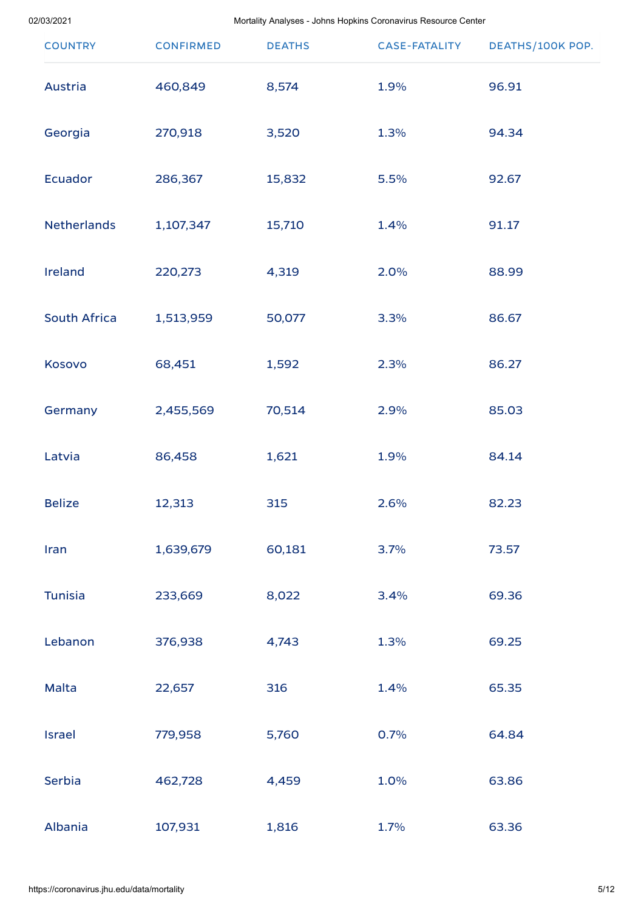| <b>COUNTRY</b>      | <b>CONFIRMED</b> | <b>DEATHS</b> | <b>CASE-FATALITY</b> | DEATHS/100K POP. |
|---------------------|------------------|---------------|----------------------|------------------|
| Austria             | 460,849          | 8,574         | 1.9%                 | 96.91            |
| Georgia             | 270,918          | 3,520         | 1.3%                 | 94.34            |
| <b>Ecuador</b>      | 286,367          | 15,832        | 5.5%                 | 92.67            |
| <b>Netherlands</b>  | 1,107,347        | 15,710        | 1.4%                 | 91.17            |
| Ireland             | 220,273          | 4,319         | 2.0%                 | 88.99            |
| <b>South Africa</b> | 1,513,959        | 50,077        | 3.3%                 | 86.67            |
| Kosovo              | 68,451           | 1,592         | 2.3%                 | 86.27            |
| Germany             | 2,455,569        | 70,514        | 2.9%                 | 85.03            |
| Latvia              | 86,458           | 1,621         | 1.9%                 | 84.14            |
| <b>Belize</b>       | 12,313           | 315           | 2.6%                 | 82.23            |
| Iran                | 1,639,679        | 60,181        | 3.7%                 | 73.57            |
| <b>Tunisia</b>      | 233,669          | 8,022         | 3.4%                 | 69.36            |
| Lebanon             | 376,938          | 4,743         | 1.3%                 | 69.25            |
| Malta               | 22,657           | 316           | 1.4%                 | 65.35            |
| <b>Israel</b>       | 779,958          | 5,760         | 0.7%                 | 64.84            |
| Serbia              | 462,728          | 4,459         | 1.0%                 | 63.86            |
| Albania             | 107,931          | 1,816         | 1.7%                 | 63.36            |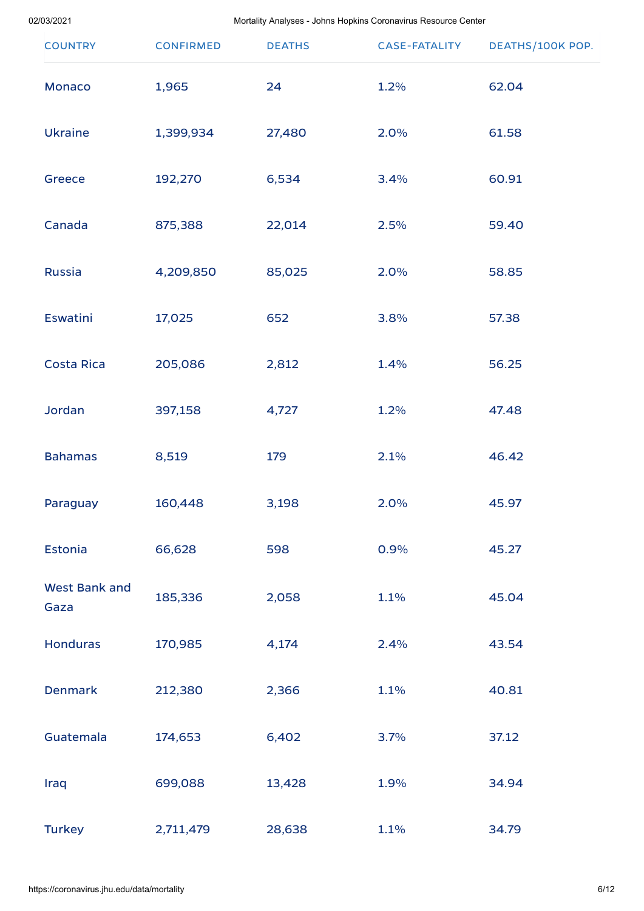| <b>COUNTRY</b>               | <b>CONFIRMED</b> | <b>DEATHS</b> | <b>CASE-FATALITY</b> | DEATHS/100K POP. |
|------------------------------|------------------|---------------|----------------------|------------------|
| Monaco                       | 1,965            | 24            | 1.2%                 | 62.04            |
| <b>Ukraine</b>               | 1,399,934        | 27,480        | 2.0%                 | 61.58            |
| Greece                       | 192,270          | 6,534         | 3.4%                 | 60.91            |
| Canada                       | 875,388          | 22,014        | 2.5%                 | 59.40            |
| <b>Russia</b>                | 4,209,850        | 85,025        | 2.0%                 | 58.85            |
| <b>Eswatini</b>              | 17,025           | 652           | 3.8%                 | 57.38            |
| <b>Costa Rica</b>            | 205,086          | 2,812         | 1.4%                 | 56.25            |
| Jordan                       | 397,158          | 4,727         | 1.2%                 | 47.48            |
| <b>Bahamas</b>               | 8,519            | 179           | 2.1%                 | 46.42            |
| Paraguay                     | 160,448          | 3,198         | 2.0%                 | 45.97            |
| <b>Estonia</b>               | 66,628           | 598           | 0.9%                 | 45.27            |
| <b>West Bank and</b><br>Gaza | 185,336          | 2,058         | 1.1%                 | 45.04            |
| <b>Honduras</b>              | 170,985          | 4,174         | 2.4%                 | 43.54            |
| <b>Denmark</b>               | 212,380          | 2,366         | 1.1%                 | 40.81            |
| Guatemala                    | 174,653          | 6,402         | 3.7%                 | 37.12            |
| Iraq                         | 699,088          | 13,428        | 1.9%                 | 34.94            |
| <b>Turkey</b>                | 2,711,479        | 28,638        | 1.1%                 | 34.79            |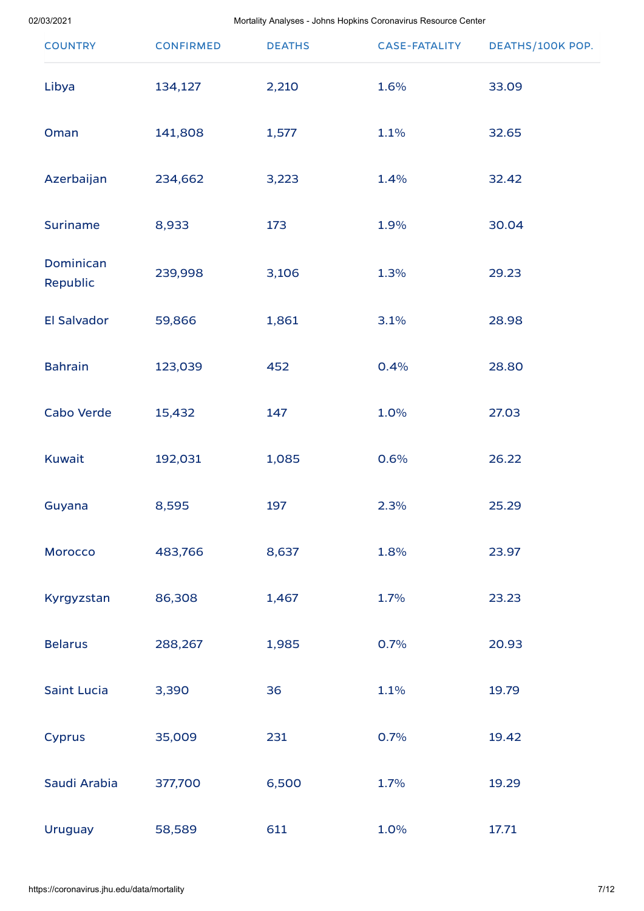| <b>COUNTRY</b>               | <b>CONFIRMED</b> | <b>DEATHS</b> | <b>CASE-FATALITY</b> | DEATHS/100K POP. |
|------------------------------|------------------|---------------|----------------------|------------------|
| Libya                        | 134,127          | 2,210         | 1.6%                 | 33.09            |
| Oman                         | 141,808          | 1,577         | 1.1%                 | 32.65            |
| Azerbaijan                   | 234,662          | 3,223         | 1.4%                 | 32.42            |
| <b>Suriname</b>              | 8,933            | 173           | 1.9%                 | 30.04            |
| <b>Dominican</b><br>Republic | 239,998          | 3,106         | 1.3%                 | 29.23            |
| <b>El Salvador</b>           | 59,866           | 1,861         | 3.1%                 | 28.98            |
| <b>Bahrain</b>               | 123,039          | 452           | 0.4%                 | 28.80            |
| Cabo Verde                   | 15,432           | 147           | 1.0%                 | 27.03            |
| <b>Kuwait</b>                | 192,031          | 1,085         | 0.6%                 | 26.22            |
| Guyana                       | 8,595            | 197           | 2.3%                 | 25.29            |
| Morocco                      | 483,766          | 8,637         | 1.8%                 | 23.97            |
| Kyrgyzstan                   | 86,308           | 1,467         | 1.7%                 | 23.23            |
| <b>Belarus</b>               | 288,267          | 1,985         | 0.7%                 | 20.93            |
| <b>Saint Lucia</b>           | 3,390            | 36            | 1.1%                 | 19.79            |
| <b>Cyprus</b>                | 35,009           | 231           | 0.7%                 | 19.42            |
| Saudi Arabia                 | 377,700          | 6,500         | 1.7%                 | 19.29            |
| <b>Uruguay</b>               | 58,589           | 611           | 1.0%                 | 17.71            |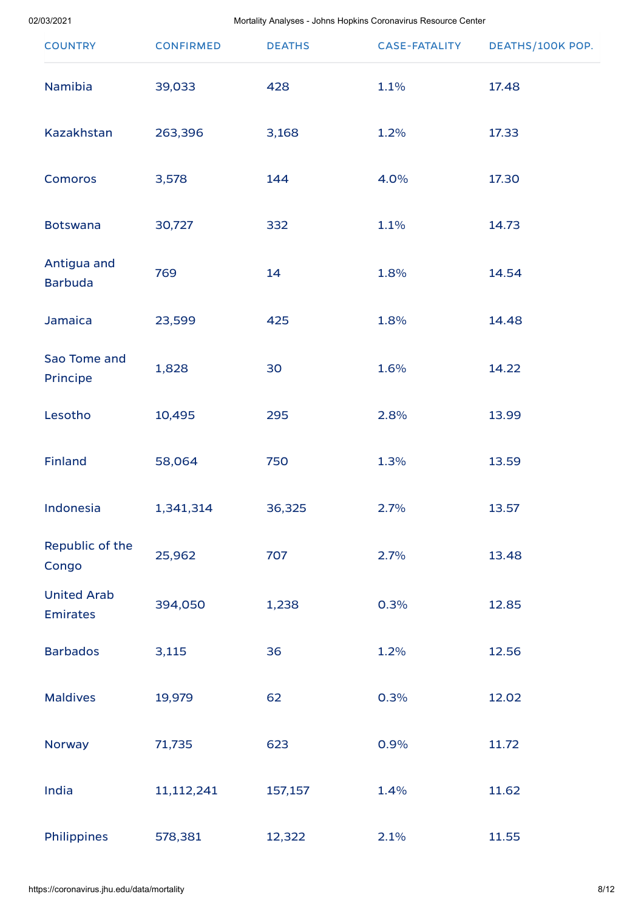| <b>COUNTRY</b>                        | <b>CONFIRMED</b> | <b>DEATHS</b> | <b>CASE-FATALITY</b> | DEATHS/100K POP. |
|---------------------------------------|------------------|---------------|----------------------|------------------|
| Namibia                               | 39,033           | 428           | 1.1%                 | 17.48            |
| Kazakhstan                            | 263,396          | 3,168         | 1.2%                 | 17.33            |
| <b>Comoros</b>                        | 3,578            | 144           | 4.0%                 | 17.30            |
| <b>Botswana</b>                       | 30,727           | 332           | 1.1%                 | 14.73            |
| Antigua and<br><b>Barbuda</b>         | 769              | 14            | 1.8%                 | 14.54            |
| Jamaica                               | 23,599           | 425           | 1.8%                 | 14.48            |
| Sao Tome and<br>Principe              | 1,828            | 30            | 1.6%                 | 14.22            |
| Lesotho                               | 10,495           | 295           | 2.8%                 | 13.99            |
| <b>Finland</b>                        | 58,064           | 750           | 1.3%                 | 13.59            |
| Indonesia                             | 1,341,314        | 36,325        | 2.7%                 | 13.57            |
| Republic of the<br>Congo              | 25,962           | 707           | 2.7%                 | 13.48            |
| <b>United Arab</b><br><b>Emirates</b> | 394,050          | 1,238         | 0.3%                 | 12.85            |
| <b>Barbados</b>                       | 3,115            | 36            | 1.2%                 | 12.56            |
| <b>Maldives</b>                       | 19,979           | 62            | 0.3%                 | 12.02            |
| Norway                                | 71,735           | 623           | 0.9%                 | 11.72            |
| India                                 | 11,112,241       | 157,157       | 1.4%                 | 11.62            |
| Philippines                           | 578,381          | 12,322        | 2.1%                 | 11.55            |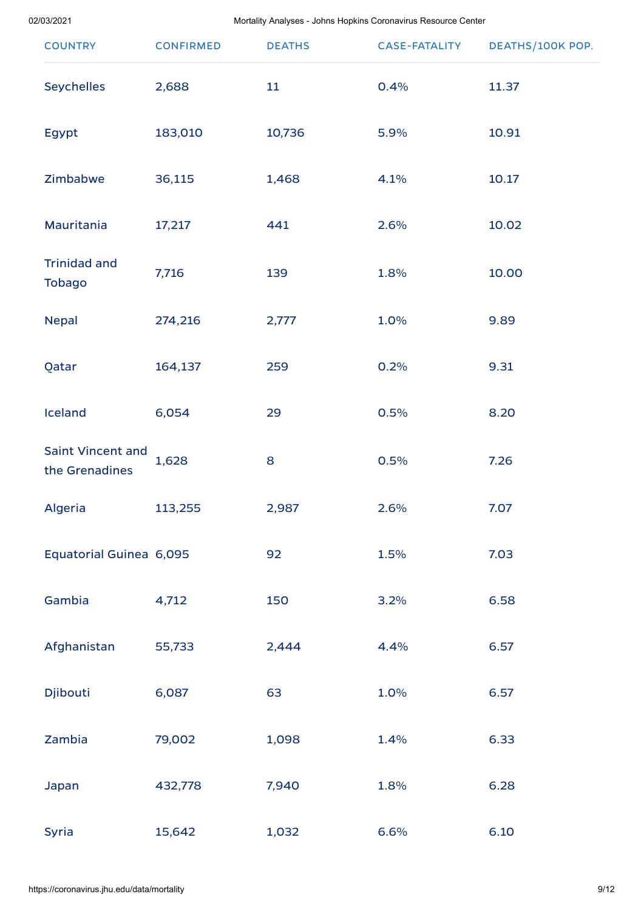| <b>COUNTRY</b>                       | <b>CONFIRMED</b> | <b>DEATHS</b> | <b>CASE-FATALITY</b> | DEATHS/100K POP. |
|--------------------------------------|------------------|---------------|----------------------|------------------|
| <b>Seychelles</b>                    | 2,688            | 11            | 0.4%                 | 11.37            |
| Egypt                                | 183,010          | 10,736        | 5.9%                 | 10.91            |
| Zimbabwe                             | 36,115           | 1,468         | 4.1%                 | 10.17            |
| Mauritania                           | 17,217           | 441           | 2.6%                 | 10.02            |
| <b>Trinidad and</b><br><b>Tobago</b> | 7,716            | 139           | 1.8%                 | 10.00            |
| <b>Nepal</b>                         | 274,216          | 2,777         | 1.0%                 | 9.89             |
| Qatar                                | 164,137          | 259           | 0.2%                 | 9.31             |
| Iceland                              | 6,054            | 29            | 0.5%                 | 8.20             |
| Saint Vincent and<br>the Grenadines  | 1,628            | 8             | 0.5%                 | 7.26             |
| Algeria                              | 113,255          | 2,987         | 2.6%                 | 7.07             |
| Equatorial Guinea 6,095              |                  | 92            | 1.5%                 | 7.03             |
| Gambia                               | 4,712            | 150           | 3.2%                 | 6.58             |
| Afghanistan                          | 55,733           | 2,444         | 4.4%                 | 6.57             |
| Djibouti                             | 6,087            | 63            | 1.0%                 | 6.57             |
| Zambia                               | 79,002           | 1,098         | 1.4%                 | 6.33             |
| Japan                                | 432,778          | 7,940         | 1.8%                 | 6.28             |
| Syria                                | 15,642           | 1,032         | 6.6%                 | 6.10             |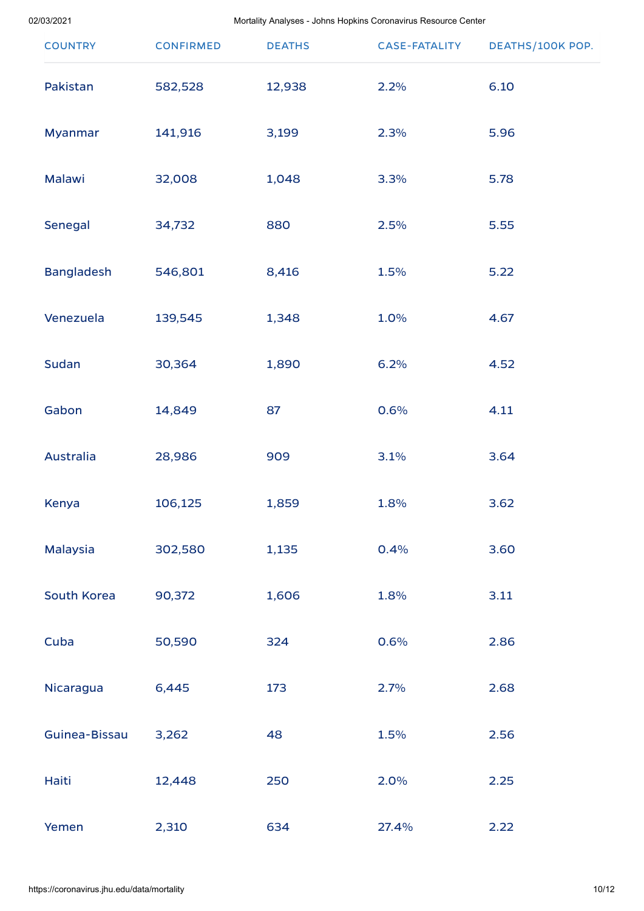| <b>COUNTRY</b>    | <b>CONFIRMED</b> | <b>DEATHS</b> | <b>CASE-FATALITY</b> | DEATHS/100K POP. |
|-------------------|------------------|---------------|----------------------|------------------|
| Pakistan          | 582,528          | 12,938        | 2.2%                 | 6.10             |
| Myanmar           | 141,916          | 3,199         | 2.3%                 | 5.96             |
| Malawi            | 32,008           | 1,048         | 3.3%                 | 5.78             |
| Senegal           | 34,732           | 880           | 2.5%                 | 5.55             |
| <b>Bangladesh</b> | 546,801          | 8,416         | 1.5%                 | 5.22             |
| Venezuela         | 139,545          | 1,348         | 1.0%                 | 4.67             |
| Sudan             | 30,364           | 1,890         | 6.2%                 | 4.52             |
| Gabon             | 14,849           | 87            | 0.6%                 | 4.11             |
| Australia         | 28,986           | 909           | 3.1%                 | 3.64             |
| Kenya             | 106,125          | 1,859         | 1.8%                 | 3.62             |
| Malaysia          | 302,580          | 1,135         | 0.4%                 | 3.60             |
| South Korea       | 90,372           | 1,606         | 1.8%                 | 3.11             |
| Cuba              | 50,590           | 324           | 0.6%                 | 2.86             |
| Nicaragua         | 6,445            | 173           | 2.7%                 | 2.68             |
| Guinea-Bissau     | 3,262            | 48            | 1.5%                 | 2.56             |
| Haiti             | 12,448           | 250           | 2.0%                 | 2.25             |
| Yemen             | 2,310            | 634           | 27.4%                | 2.22             |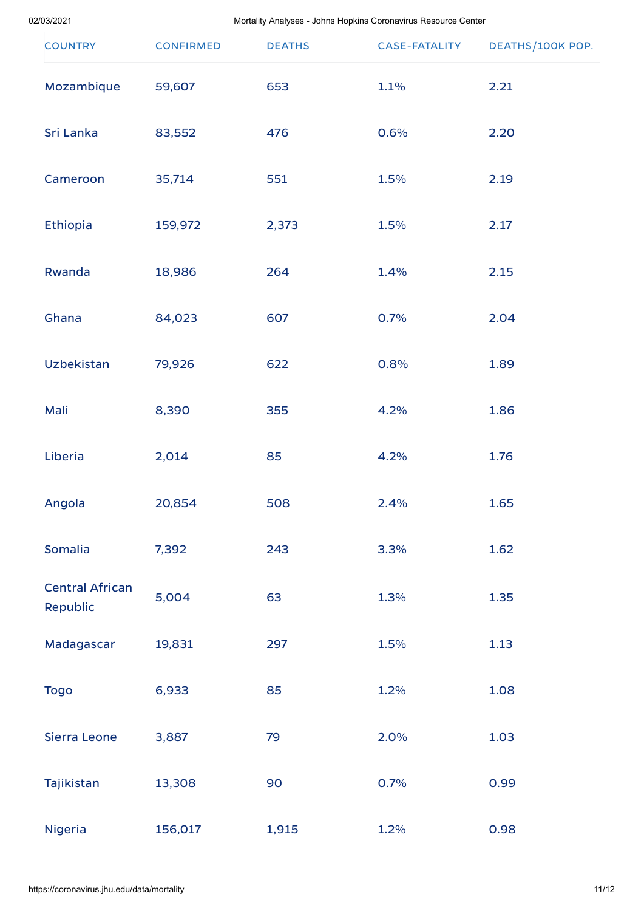| <b>COUNTRY</b>                     | <b>CONFIRMED</b> | <b>DEATHS</b> | <b>CASE-FATALITY</b> | DEATHS/100K POP. |
|------------------------------------|------------------|---------------|----------------------|------------------|
| Mozambique                         | 59,607           | 653           | 1.1%                 | 2.21             |
| Sri Lanka                          | 83,552           | 476           | 0.6%                 | 2.20             |
| Cameroon                           | 35,714           | 551           | 1.5%                 | 2.19             |
| Ethiopia                           | 159,972          | 2,373         | 1.5%                 | 2.17             |
| Rwanda                             | 18,986           | 264           | 1.4%                 | 2.15             |
| Ghana                              | 84,023           | 607           | 0.7%                 | 2.04             |
| Uzbekistan                         | 79,926           | 622           | 0.8%                 | 1.89             |
| Mali                               | 8,390            | 355           | 4.2%                 | 1.86             |
| Liberia                            | 2,014            | 85            | 4.2%                 | 1.76             |
| Angola                             | 20,854           | 508           | 2.4%                 | 1.65             |
| Somalia                            | 7,392            | 243           | 3.3%                 | 1.62             |
| <b>Central African</b><br>Republic | 5,004            | 63            | 1.3%                 | 1.35             |
| Madagascar                         | 19,831           | 297           | 1.5%                 | 1.13             |
| <b>Togo</b>                        | 6,933            | 85            | 1.2%                 | 1.08             |
| Sierra Leone                       | 3,887            | 79            | 2.0%                 | 1.03             |
| Tajikistan                         | 13,308           | 90            | 0.7%                 | 0.99             |
| Nigeria                            | 156,017          | 1,915         | 1.2%                 | 0.98             |